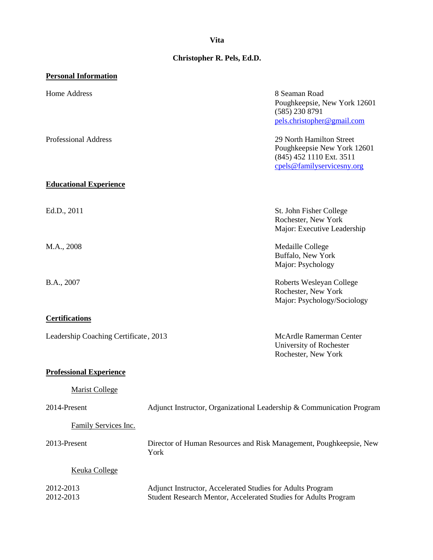## **Vita**

# **Christopher R. Pels, Ed.D.**

| <b>Personal Information</b>           |                                                                                                                               |                                                                                                                   |
|---------------------------------------|-------------------------------------------------------------------------------------------------------------------------------|-------------------------------------------------------------------------------------------------------------------|
| Home Address                          |                                                                                                                               | 8 Seaman Road<br>Poughkeepsie, New York 12601<br>$(585)$ 230 8791<br>pels.christopher@gmail.com                   |
| <b>Professional Address</b>           |                                                                                                                               | 29 North Hamilton Street<br>Poughkeepsie New York 12601<br>(845) 452 1110 Ext. 3511<br>cpels@familyservicesny.org |
| <b>Educational Experience</b>         |                                                                                                                               |                                                                                                                   |
| Ed.D., 2011                           |                                                                                                                               | St. John Fisher College<br>Rochester, New York<br>Major: Executive Leadership                                     |
| M.A., 2008                            |                                                                                                                               | Medaille College<br>Buffalo, New York<br>Major: Psychology                                                        |
| B.A., 2007                            |                                                                                                                               | Roberts Wesleyan College<br>Rochester, New York<br>Major: Psychology/Sociology                                    |
| <b>Certifications</b>                 |                                                                                                                               |                                                                                                                   |
| Leadership Coaching Certificate, 2013 |                                                                                                                               | McArdle Ramerman Center<br>University of Rochester<br>Rochester, New York                                         |
| <b>Professional Experience</b>        |                                                                                                                               |                                                                                                                   |
| <b>Marist College</b>                 |                                                                                                                               |                                                                                                                   |
| 2014-Present                          | Adjunct Instructor, Organizational Leadership & Communication Program                                                         |                                                                                                                   |
| Family Services Inc.                  |                                                                                                                               |                                                                                                                   |
| 2013-Present                          | Director of Human Resources and Risk Management, Poughkeepsie, New<br>York                                                    |                                                                                                                   |
| <b>Keuka College</b>                  |                                                                                                                               |                                                                                                                   |
| 2012-2013<br>2012-2013                | Adjunct Instructor, Accelerated Studies for Adults Program<br>Student Research Mentor, Accelerated Studies for Adults Program |                                                                                                                   |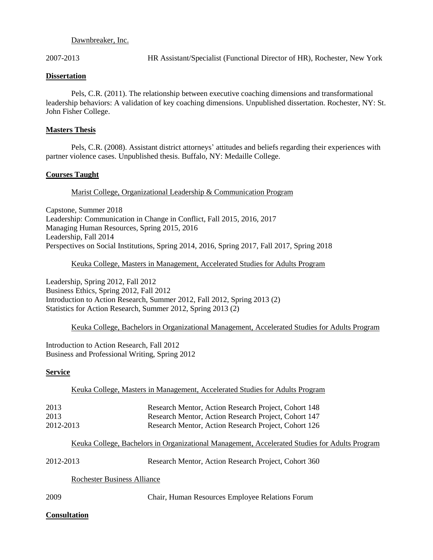#### Dawnbreaker, Inc.

2007-2013 HR Assistant/Specialist (Functional Director of HR), Rochester, New York

#### **Dissertation**

Pels, C.R. (2011). The relationship between executive coaching dimensions and transformational leadership behaviors: A validation of key coaching dimensions. Unpublished dissertation. Rochester, NY: St. John Fisher College.

#### **Masters Thesis**

Pels, C.R. (2008). Assistant district attorneys' attitudes and beliefs regarding their experiences with partner violence cases. Unpublished thesis. Buffalo, NY: Medaille College.

## **Courses Taught**

## Marist College, Organizational Leadership & Communication Program

Capstone, Summer 2018 Leadership: Communication in Change in Conflict, Fall 2015, 2016, 2017 Managing Human Resources, Spring 2015, 2016 Leadership, Fall 2014 Perspectives on Social Institutions, Spring 2014, 2016, Spring 2017, Fall 2017, Spring 2018

#### Keuka College, Masters in Management, Accelerated Studies for Adults Program

Leadership, Spring 2012, Fall 2012 Business Ethics, Spring 2012, Fall 2012 Introduction to Action Research, Summer 2012, Fall 2012, Spring 2013 (2) Statistics for Action Research, Summer 2012, Spring 2013 (2)

#### Keuka College, Bachelors in Organizational Management, Accelerated Studies for Adults Program

Introduction to Action Research, Fall 2012 Business and Professional Writing, Spring 2012

## **Service**

Keuka College, Masters in Management, Accelerated Studies for Adults Program

| 2013      | Research Mentor, Action Research Project, Cohort 148 |
|-----------|------------------------------------------------------|
| 2013      | Research Mentor, Action Research Project, Cohort 147 |
| 2012-2013 | Research Mentor, Action Research Project, Cohort 126 |

## Keuka College, Bachelors in Organizational Management, Accelerated Studies for Adults Program

| 2012-2013 | Research Mentor, Action Research Project, Cohort 360 |  |
|-----------|------------------------------------------------------|--|
|-----------|------------------------------------------------------|--|

Rochester Business Alliance

2009 Chair, Human Resources Employee Relations Forum

## **Consultation**